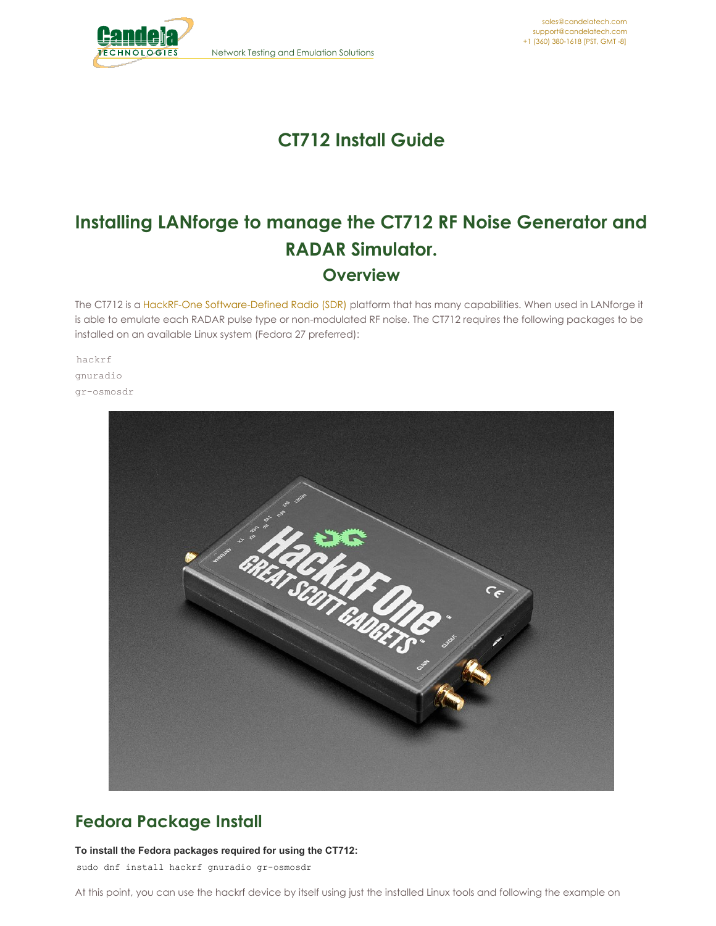

# **CT712 Install Guide**

# **Installing LANforge to manage the CT712 RF Noise Generator and RADAR Simulator. Overview**

The CT712 is a HackRF-One [Software-Defined](https://greatscottgadgets.com/hackrf) Radio (SDR) platform that has many capabilities. When used in LANforge it is able to emulate each RADAR pulse type or non-modulated RF noise. The CT712 requires the following packages to be installed on an available Linux system (Fedora 27 preferred):

hackrf gnuradio gr-osmosdr



### **Fedora Package Install**

#### **To install the Fedora packages required for using the CT712:**

sudo dnf install hackrf gnuradio gr-osmosdr